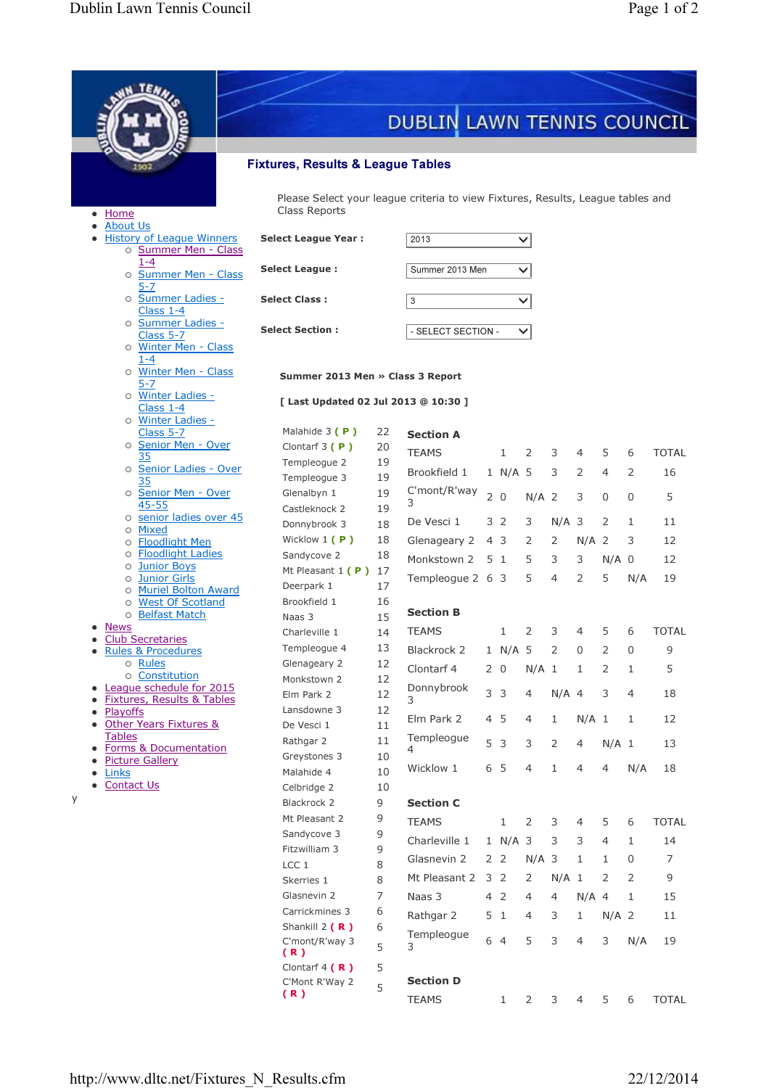Ī

|           | TEN.                                                                                                                               |                                                                                                            |                                    |                            |                                 |                   |                |                |                |                |              |              |  |  |
|-----------|------------------------------------------------------------------------------------------------------------------------------------|------------------------------------------------------------------------------------------------------------|------------------------------------|----------------------------|---------------------------------|-------------------|----------------|----------------|----------------|----------------|--------------|--------------|--|--|
|           |                                                                                                                                    |                                                                                                            |                                    |                            |                                 |                   |                |                |                |                |              |              |  |  |
|           |                                                                                                                                    |                                                                                                            |                                    | DUBLIN LAWN TENNIS COUNCIL |                                 |                   |                |                |                |                |              |              |  |  |
|           |                                                                                                                                    |                                                                                                            |                                    |                            |                                 |                   |                |                |                |                |              |              |  |  |
|           |                                                                                                                                    | <b>Fixtures, Results &amp; League Tables</b>                                                               |                                    |                            |                                 |                   |                |                |                |                |              |              |  |  |
|           |                                                                                                                                    |                                                                                                            |                                    |                            |                                 |                   |                |                |                |                |              |              |  |  |
|           | Please Select your league criteria to view Fixtures, Results, League tables and<br>Class Reports<br><b>Home</b><br><b>About Us</b> |                                                                                                            |                                    |                            |                                 |                   |                |                |                |                |              |              |  |  |
|           | <b>History of League Winners</b><br>o Summer Men - Class                                                                           | <b>Select League Year:</b>                                                                                 |                                    | 2013                       |                                 |                   | $\checkmark$   |                |                |                |              |              |  |  |
|           | o Summer Men - Class                                                                                                               | $1 - 4$<br><b>Select League:</b>                                                                           |                                    |                            | Summer 2013 Men<br>$\checkmark$ |                   |                |                |                |                |              |              |  |  |
|           | $5 - 7$<br>o Summer Ladies -<br>Class $1-4$                                                                                        | <b>Select Class:</b>                                                                                       |                                    |                            |                                 | 3<br>$\checkmark$ |                |                |                |                |              |              |  |  |
|           | o Summer Ladies -                                                                                                                  | <b>Select Section:</b>                                                                                     | - SELECT SECTION -<br>$\checkmark$ |                            |                                 |                   |                |                |                |                |              |              |  |  |
|           | Class 5-7<br>o Winter Men - Class                                                                                                  |                                                                                                            |                                    |                            |                                 |                   |                |                |                |                |              |              |  |  |
|           | $1 - 4$<br>o Winter Men - Class<br>5-7                                                                                             | Summer 2013 Men » Class 3 Report                                                                           |                                    |                            |                                 |                   |                |                |                |                |              |              |  |  |
|           | o Winter Ladies -<br>Class 1-4                                                                                                     | [ Last Updated 02 Jul 2013 @ 10:30 ]                                                                       |                                    |                            |                                 |                   |                |                |                |                |              |              |  |  |
|           | o Winter Ladies -<br>Class 5-7                                                                                                     | Malahide 3 (P)                                                                                             | 22                                 | <b>Section A</b>           |                                 |                   |                |                |                |                |              |              |  |  |
|           | o Senior Men - Over                                                                                                                | Clontarf $3(P)$                                                                                            | 20                                 | <b>TEAMS</b>               |                                 | 1                 | 2              | 3              | 4              | 5              | 6            | <b>TOTAL</b> |  |  |
|           | 35<br>o Senior Ladies - Over                                                                                                       | Templeogue 2                                                                                               | 19                                 | Brookfield 1               |                                 | 1 N/A 5           |                | 3              | 2              | 4              | 2            | 16           |  |  |
|           | 35<br>o Senior Men - Over                                                                                                          | Templeogue 3<br>Glenalbyn 1                                                                                | 19<br>19                           | C'mont/R'way               |                                 |                   |                |                |                |                |              |              |  |  |
|           | 45-55                                                                                                                              | Castleknock 2                                                                                              | 19                                 | 3                          | 20                              |                   | $N/A$ 2        |                | 3              | 0              | 0            | 5            |  |  |
|           | o senior ladies over 45<br>Mixed<br>$\circ$                                                                                        | Donnybrook 3                                                                                               | 18                                 | De Vesci 1                 | 3                               | 2                 | 3              | $N/A$ 3        |                | 2              | $\mathbf{1}$ | 11           |  |  |
|           | <b>Floodlight Men</b><br>O                                                                                                         | Wicklow 1 (P)                                                                                              | 18                                 | Glenageary 2               |                                 | 43                | 2              | 2              | $N/A$ 2        |                | 3            | 12           |  |  |
|           | <b>Floodlight Ladies</b><br>$\circ$<br><b>Junior Boys</b><br>О                                                                     | Sandycove 2                                                                                                | 18<br>17                           | Monkstown 2                |                                 | 51                | 5              | 3              | 3              | $N/A$ 0        |              | 12           |  |  |
|           | <b>Junior Girls</b><br>$\circ$                                                                                                     | Mt Pleasant $1 (P)$<br>Deerpark 1<br><b>Muriel Bolton Award</b><br>Brookfield 1<br><b>West Of Scotland</b> |                                    | Templeogue 2 6 3           |                                 |                   | 5              | $\overline{4}$ | 2              | 5              | N/A          | 19           |  |  |
|           | $\circ$<br>$\circ$                                                                                                                 |                                                                                                            |                                    |                            |                                 |                   |                |                |                |                |              |              |  |  |
|           | <b>Belfast Match</b><br>$\circ$<br>Naas 3                                                                                          |                                                                                                            | 16<br>15                           | <b>Section B</b>           |                                 |                   |                |                |                |                |              |              |  |  |
|           | <b>News</b><br><b>Club Secretaries</b>                                                                                             | Charleville 1                                                                                              | 14                                 | <b>TEAMS</b>               |                                 | 1                 | 2              | 3              | 4              | 5              | 6            | <b>TOTAL</b> |  |  |
| $\bullet$ | <b>Rules &amp; Procedures</b>                                                                                                      | Templeogue 4                                                                                               | 13                                 | Blackrock 2                |                                 | 1 N/A 5           |                | 2              | 0              | $\overline{2}$ | 0            | 9            |  |  |
|           | o Rules<br>o Constitution                                                                                                          | Glenageary 2<br>Monkstown 2                                                                                | 12<br>12                           | Clontarf 4                 |                                 | 2 0               | $N/A$ 1        |                | 1              | 2              | 1            | 5            |  |  |
| $\bullet$ | League schedule for 2015                                                                                                           | Elm Park 2                                                                                                 | 12                                 | Donnybrook                 | 3 <sup>3</sup>                  |                   | $\overline{4}$ | $N/A$ 4        |                | 3              | 4            | 18           |  |  |
| $\bullet$ | <b>Fixtures, Results &amp; Tables</b><br>Playoffs                                                                                  | Lansdowne 3                                                                                                | 12                                 | 3                          |                                 |                   |                |                |                |                |              |              |  |  |
| $\bullet$ | Other Years Fixtures &<br><b>Tables</b>                                                                                            | De Vesci 1                                                                                                 | 11                                 | Elm Park 2                 | 45                              |                   | 4              | $\mathbf{1}$   | $N/A$ 1        |                | 1            | 12           |  |  |
| ٠         | <b>Forms &amp; Documentation</b>                                                                                                   | Rathgar 2                                                                                                  | 11                                 | Templeogue<br>4            | 5 <sub>3</sub>                  |                   | 3              | 2              | $\overline{4}$ | $N/A$ 1        |              | 13           |  |  |
| $\bullet$ | <b>Picture Gallery</b><br>Links                                                                                                    | Greystones 3<br>Malahide 4                                                                                 | 10<br>10                           | Wicklow 1                  | 6                               | - 5               | 4              | $\mathbf{1}$   | $\overline{4}$ | 4              | N/A          | 18           |  |  |
|           | <b>Contact Us</b>                                                                                                                  | Celbridge 2                                                                                                | 10                                 |                            |                                 |                   |                |                |                |                |              |              |  |  |
|           |                                                                                                                                    | Blackrock 2                                                                                                | 9                                  | <b>Section C</b>           |                                 |                   |                |                |                |                |              |              |  |  |
|           |                                                                                                                                    | Mt Pleasant 2                                                                                              | 9                                  | <b>TEAMS</b>               |                                 | 1                 | $\overline{2}$ | 3              | 4              | 5              | 6            | <b>TOTAL</b> |  |  |
|           |                                                                                                                                    | Sandycove 3                                                                                                | 9                                  | Charleville 1              |                                 | 1 N/A 3           |                | 3              | 3              | $\overline{4}$ | 1            | 14           |  |  |
|           |                                                                                                                                    | Fitzwilliam 3<br>LCC <sub>1</sub>                                                                          | 9<br>8                             | Glasnevin 2                |                                 | 2 <sub>2</sub>    | $N/A$ 3        |                | 1              | 1              | 0            | 7            |  |  |
|           |                                                                                                                                    | Skerries 1                                                                                                 | 8                                  | Mt Pleasant 2              | 3 2                             |                   | 2              | $N/A$ 1        |                | 2              | 2            | 9            |  |  |
|           |                                                                                                                                    | Glasnevin 2                                                                                                | 7                                  | Naas 3                     | 4 2                             |                   | 4              | 4              | $N/A$ 4        |                | 1            | 15           |  |  |
|           |                                                                                                                                    | Carrickmines 3                                                                                             | 6                                  | Rathgar 2                  | 5                               | -1                | 4              | 3              | 1              | $N/A$ 2        |              | 11           |  |  |
|           |                                                                                                                                    | Shankill 2 $(R)$                                                                                           | 6                                  | Templeogue                 | 6 4                             |                   | 5              | 3              | $\overline{4}$ | 3              | N/A          | 19           |  |  |
|           |                                                                                                                                    | C'mont/R'way 3<br>(R)                                                                                      | 5                                  | 3                          |                                 |                   |                |                |                |                |              |              |  |  |
|           |                                                                                                                                    | Clontarf 4 $(R)$                                                                                           | 5                                  | <b>Section D</b>           |                                 |                   |                |                |                |                |              |              |  |  |
|           |                                                                                                                                    | C'Mont R'Way 2<br>(R)                                                                                      | 5                                  | <b>TEAMS</b>               |                                 | 1                 | $\overline{2}$ | 3              | 4              | 5              | 6            | <b>TOTAL</b> |  |  |
|           |                                                                                                                                    |                                                                                                            |                                    |                            |                                 |                   |                |                |                |                |              |              |  |  |

y